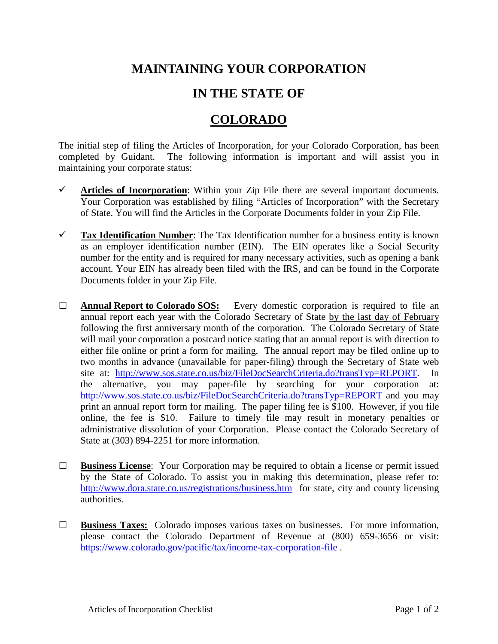## **MAINTAINING YOUR CORPORATION**

## **IN THE STATE OF**

## **COLORADO**

The initial step of filing the Articles of Incorporation, for your Colorado Corporation, has been completed by Guidant. The following information is important and will assist you in maintaining your corporate status:

- $\checkmark$  Articles of Incorporation: Within your Zip File there are several important documents. Your Corporation was established by filing "Articles of Incorporation" with the Secretary of State. You will find the Articles in the Corporate Documents folder in your Zip File.
- **Tax Identification Number**: The Tax Identification number for a business entity is known as an employer identification number (EIN). The EIN operates like a Social Security number for the entity and is required for many necessary activities, such as opening a bank account. Your EIN has already been filed with the IRS, and can be found in the Corporate Documents folder in your Zip File.
- **□ Annual Report to Colorado SOS:** Every domestic corporation is required to file an annual report each year with the Colorado Secretary of State by the last day of February following the first anniversary month of the corporation. The Colorado Secretary of State will mail your corporation a postcard notice stating that an annual report is with direction to either file online or print a form for mailing. The annual report may be filed online up to two months in advance (unavailable for paper-filing) through the Secretary of State web site at: [http://www.sos.state.co.us/biz/FileDocSearchCriteria.do?transTyp=REPORT.](http://www.sos.state.co.us/biz/FileDocSearchCriteria.do?transTyp=REPORT) In the alternative, you may paper-file by searching for your corporation at: <http://www.sos.state.co.us/biz/FileDocSearchCriteria.do?transTyp=REPORT> and you may print an annual report form for mailing. The paper filing fee is \$100. However, if you file online, the fee is \$10. Failure to timely file may result in monetary penalties or administrative dissolution of your Corporation. Please contact the Colorado Secretary of State at (303) 894-2251 for more information.
- **□ Business License**: Your Corporation may be required to obtain a license or permit issued by the State of Colorado. To assist you in making this determination, please refer to: <http://www.dora.state.co.us/registrations/business.htm> for state, city and county licensing authorities.
- **□ Business Taxes:** Colorado imposes various taxes on businesses. For more information, please contact the Colorado Department of Revenue at (800) 659-3656 or visit: <https://www.colorado.gov/pacific/tax/income-tax-corporation-file> .